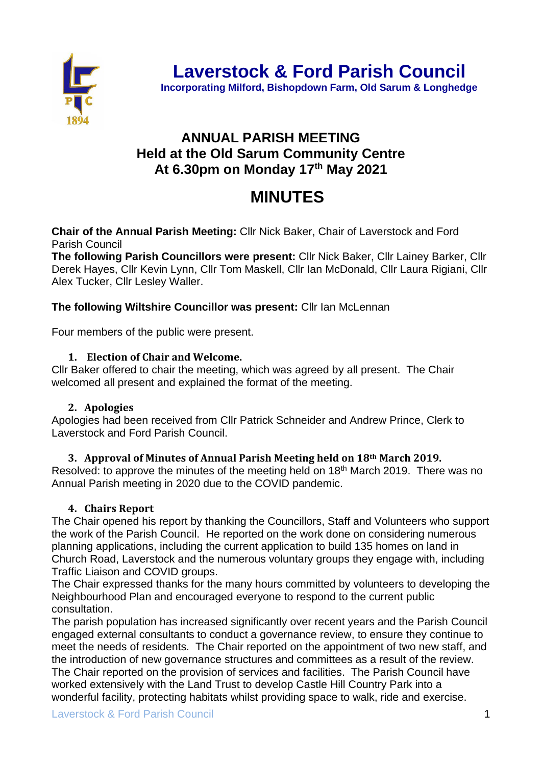

**Incorporating Milford, Bishopdown Farm, Old Sarum & Longhedge**

# **ANNUAL PARISH MEETING Held at the Old Sarum Community Centre At 6.30pm on Monday 17th May 2021**

# **MINUTES**

**Chair of the Annual Parish Meeting:** Cllr Nick Baker, Chair of Laverstock and Ford Parish Council

**The following Parish Councillors were present:** Cllr Nick Baker, Cllr Lainey Barker, Cllr Derek Hayes, Cllr Kevin Lynn, Cllr Tom Maskell, Cllr Ian McDonald, Cllr Laura Rigiani, Cllr Alex Tucker, Cllr Lesley Waller.

## **The following Wiltshire Councillor was present:** Cllr Ian McLennan

Four members of the public were present.

#### **1. Election of Chair and Welcome.**

Cllr Baker offered to chair the meeting, which was agreed by all present. The Chair welcomed all present and explained the format of the meeting.

#### **2. Apologies**

Apologies had been received from Cllr Patrick Schneider and Andrew Prince, Clerk to Laverstock and Ford Parish Council.

#### **3. Approval of Minutes of Annual Parish Meeting held on 18th March 2019.**

Resolved: to approve the minutes of the meeting held on 18<sup>th</sup> March 2019. There was no Annual Parish meeting in 2020 due to the COVID pandemic.

#### **4. Chairs Report**

The Chair opened his report by thanking the Councillors, Staff and Volunteers who support the work of the Parish Council. He reported on the work done on considering numerous planning applications, including the current application to build 135 homes on land in Church Road, Laverstock and the numerous voluntary groups they engage with, including Traffic Liaison and COVID groups.

The Chair expressed thanks for the many hours committed by volunteers to developing the Neighbourhood Plan and encouraged everyone to respond to the current public consultation.

The parish population has increased significantly over recent years and the Parish Council engaged external consultants to conduct a governance review, to ensure they continue to meet the needs of residents. The Chair reported on the appointment of two new staff, and the introduction of new governance structures and committees as a result of the review. The Chair reported on the provision of services and facilities. The Parish Council have worked extensively with the Land Trust to develop Castle Hill Country Park into a wonderful facility, protecting habitats whilst providing space to walk, ride and exercise.